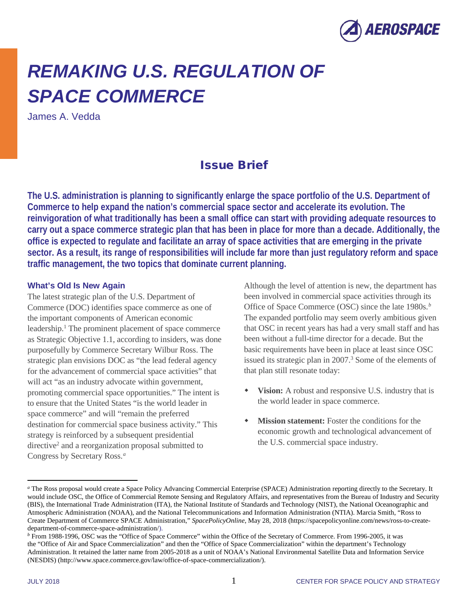

# *REMAKING U.S. REGULATION OF SPACE COMMERCE*

James A. Vedda

# Issue Brief

**The U.S. administration is planning to significantly enlarge the space portfolio of the U.S. Department of Commerce to help expand the nation's commercial space sector and accelerate its evolution. The reinvigoration of what traditionally has been a small office can start with providing adequate resources to carry out a space commerce strategic plan that has been in place for more than a decade. Additionally, the office is expected to regulate and facilitate an array of space activities that are emerging in the private sector. As a result, its range of responsibilities will include far more than just regulatory reform and space traffic management, the two topics that dominate current planning.**

#### **What's Old Is New Again**

The latest strategic plan of the U.S. Department of Commerce (DOC) identifies space commerce as one of the important components of American economic leadership[.1](#page-2-0) The prominent placement of space commerce as Strategic Objective 1.1, according to insiders, was done purposefully by Commerce Secretary Wilbur Ross. The strategic plan envisions DOC as "the lead federal agency for the advancement of commercial space activities" that will act "as an industry advocate within government, promoting commercial space opportunities." The intent is to ensure that the United States "is the world leader in space commerce" and will "remain the preferred destination for commercial space business activity." This strategy is reinforced by a subsequent presidential directiv[e2](#page-2-1) and a reorganization proposal submitted to Congress by Secretary Ross.*[a](#page-0-0)*

Although the level of attention is new, the department has been involved in commercial space activities through its Office of Space Commerce (OSC) since the late 1980s.*[b](#page-0-1)* The expanded portfolio may seem overly ambitious given that OSC in recent years has had a very small staff and has been without a full-time director for a decade. But the basic requirements have been in place at least since OSC issued its strategic plan in 2007.<sup>3</sup> Some of the elements of that plan still resonate today:

- **Vision:** A robust and responsive U.S. industry that is the world leader in space commerce.
- **Mission statement:** Foster the conditions for the economic growth and technological advancement of the U.S. commercial space industry.

 $\overline{a}$ 

<span id="page-0-0"></span>*<sup>a</sup>* The Ross proposal would create a Space Policy Advancing Commercial Enterprise (SPACE) Administration reporting directly to the Secretary. It would include OSC, the Office of Commercial Remote Sensing and Regulatory Affairs, and representatives from the Bureau of Industry and Security (BIS), the International Trade Administration (ITA), the National Institute of Standards and Technology (NIST), the National Oceanographic and Atmospheric Administration (NOAA), and the National Telecommunications and Information Administration (NTIA). Marcia Smith, "Ross to Create Department of Commerce SPACE Administration," *SpacePolicyOnline*, May 28, 2018 [\(https://spacepolicyonline.com/news/ross-to-create](https://spacepolicyonline.com/news/ross-to-create-department-of-commerce-space-administration/)[department-of-commerce-space-administration/\)](https://spacepolicyonline.com/news/ross-to-create-department-of-commerce-space-administration/).

<span id="page-0-1"></span>*<sup>b</sup>* From 1988-1996, OSC was the "Office of Space Commerce" within the Office of the Secretary of Commerce. From 1996-2005, it was the "Office of Air and Space Commercialization" and then the "Office of Space Commercialization" within the department's Technology Administration. It retained the latter name from 2005-2018 as a unit of NOAA's National Environmental Satellite Data and Information Service (NESDIS) [\(http://www.space.commerce.gov/law/office-of-space-commercialization/\)](http://www.space.commerce.gov/law/office-of-space-commercialization/).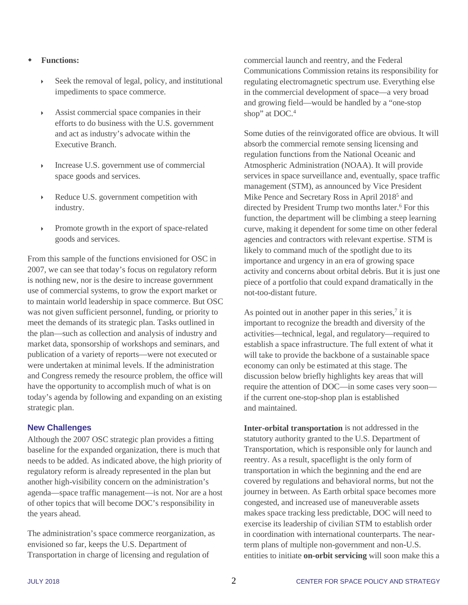# **Functions:**

- Seek the removal of legal, policy, and institutional impediments to space commerce.
- Assist commercial space companies in their efforts to do business with the U.S. government and act as industry's advocate within the Executive Branch.
- Increase U.S. government use of commercial space goods and services.
- Reduce U.S. government competition with industry.
- Promote growth in the export of space-related goods and services.

From this sample of the functions envisioned for OSC in 2007, we can see that today's focus on regulatory reform is nothing new, nor is the desire to increase government use of commercial systems, to grow the export market or to maintain world leadership in space commerce. But OSC was not given sufficient personnel, funding, or priority to meet the demands of its strategic plan. Tasks outlined in the plan—such as collection and analysis of industry and market data, sponsorship of workshops and seminars, and publication of a variety of reports—were not executed or were undertaken at minimal levels. If the administration and Congress remedy the resource problem, the office will have the opportunity to accomplish much of what is on today's agenda by following and expanding on an existing strategic plan.

# **New Challenges**

Although the 2007 OSC strategic plan provides a fitting baseline for the expanded organization, there is much that needs to be added. As indicated above, the high priority of regulatory reform is already represented in the plan but another high-visibility concern on the administration's agenda—space traffic management—is not. Nor are a host of other topics that will become DOC's responsibility in the years ahead.

The administration's space commerce reorganization, as envisioned so far, keeps the U.S. Department of Transportation in charge of licensing and regulation of

commercial launch and reentry, and the Federal Communications Commission retains its responsibility for regulating electromagnetic spectrum use. Everything else in the commercial development of space—a very broad and growing field—would be handled by a "one-stop shop" at DOC.<sup>4</sup>

Some duties of the reinvigorated office are obvious. It will absorb the commercial remote sensing licensing and regulation functions from the National Oceanic and Atmospheric Administration (NOAA). It will provide services in space surveillance and, eventually, space traffic management (STM), as announced by Vice President Mike Pence and Secretary Ross in April 2018<sup>5</sup> and directed by President Trump two months later.<sup>6</sup> For this function, the department will be climbing a steep learning curve, making it dependent for some time on other federal agencies and contractors with relevant expertise. STM is likely to command much of the spotlight due to its importance and urgency in an era of growing space activity and concerns about orbital debris. But it is just one piece of a portfolio that could expand dramatically in the not-too-distant future.

As pointed out in another paper in this series, $\frac{7}{1}$  it is important to recognize the breadth and diversity of the activities—technical, legal, and regulatory—required to establish a space infrastructure. The full extent of what it will take to provide the backbone of a sustainable space economy can only be estimated at this stage. The discussion below briefly highlights key areas that will require the attention of DOC—in some cases very soon if the current one-stop-shop plan is established and maintained.

**Inter-orbital transportation** is not addressed in the statutory authority granted to the U.S. Department of Transportation, which is responsible only for launch and reentry. As a result, spaceflight is the only form of transportation in which the beginning and the end are covered by regulations and behavioral norms, but not the journey in between. As Earth orbital space becomes more congested, and increased use of maneuverable assets makes space tracking less predictable, DOC will need to exercise its leadership of civilian STM to establish order in coordination with international counterparts. The nearterm plans of multiple non-government and non-U.S. entities to initiate **on-orbit servicing** will soon make this a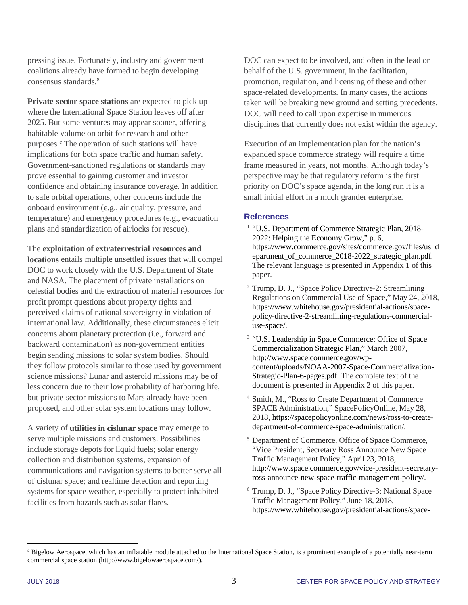pressing issue. Fortunately, industry and government coalitions already have formed to begin developing consensus standard[s.8](#page-3-1)

**Private-sector space stations** are expected to pick up where the International Space Station leaves off after 2025. But some ventures may appear sooner, offering habitable volume on orbit for research and other purposes.*[c](#page-2-5)* The operation of such stations will have implications for both space traffic and human safety. Government-sanctioned regulations or standards may prove essential to gaining customer and investor confidence and obtaining insurance coverage. In addition to safe orbital operations, other concerns include the onboard environment (e.g., air quality, pressure, and temperature) and emergency procedures (e.g., evacuation plans and standardization of airlocks for rescue).

The **exploitation of extraterrestrial resources and** 

**locations** entails multiple unsettled issues that will compel DOC to work closely with the U.S. Department of State and NASA. The placement of private installations on celestial bodies and the extraction of material resources for profit prompt questions about property rights and perceived claims of national sovereignty in violation of international law. Additionally, these circumstances elicit concerns about planetary protection (i.e., forward and backward contamination) as non-government entities begin sending missions to solar system bodies. Should they follow protocols similar to those used by government science missions? Lunar and asteroid missions may be of less concern due to their low probability of harboring life, but private-sector missions to Mars already have been proposed, and other solar system locations may follow.

A variety of **utilities in cislunar space** may emerge to serve multiple missions and customers. Possibilities include storage depots for liquid fuels; solar energy collection and distribution systems, expansion of communications and navigation systems to better serve all of cislunar space; and realtime detection and reporting systems for space weather, especially to protect inhabited facilities from hazards such as solar flares.

DOC can expect to be involved, and often in the lead on behalf of the U.S. government, in the facilitation, promotion, regulation, and licensing of these and other space-related developments. In many cases, the actions taken will be breaking new ground and setting precedents. DOC will need to call upon expertise in numerous disciplines that currently does not exist within the agency.

Execution of an implementation plan for the nation's expanded space commerce strategy will require a time frame measured in years, not months. Although today's perspective may be that regulatory reform is the first priority on DOC's space agenda, in the long run it is a small initial effort in a much grander enterprise.

#### **References**

- <span id="page-2-0"></span><sup>1</sup> "U.S. Department of Commerce Strategic Plan, 2018-2022: Helping the Economy Grow," p. 6, [https://www.commerce.gov/sites/commerce.gov/files/us\\_d](https://www.commerce.gov/sites/commerce.gov/files/us_department_of_commerce_2018-2022_strategic_plan.pdf) [epartment\\_of\\_commerce\\_2018-2022\\_strategic\\_plan.pdf.](https://www.commerce.gov/sites/commerce.gov/files/us_department_of_commerce_2018-2022_strategic_plan.pdf) The relevant language is presented in Appendix 1 of this paper.
- <span id="page-2-1"></span><sup>2</sup> Trump, D. J., "Space Policy Directive-2: Streamlining Regulations on Commercial Use of Space," May 24, 2018, [https://www.whitehouse.gov/presidential-actions/space](https://www.whitehouse.gov/presidential-actions/space-policy-directive-2-streamlining-regulations-commercial-use-space/)[policy-directive-2-streamlining-regulations-commercial](https://www.whitehouse.gov/presidential-actions/space-policy-directive-2-streamlining-regulations-commercial-use-space/)[use-space/.](https://www.whitehouse.gov/presidential-actions/space-policy-directive-2-streamlining-regulations-commercial-use-space/)
- <span id="page-2-2"></span><sup>3</sup> "U.S. Leadership in Space Commerce: Office of Space Commercialization Strategic Plan," March 2007, [http://www.space.commerce.gov/wp](http://www.space.commerce.gov/wp-content/uploads/NOAA-2007-Space-Commercialization-Strategic-Plan-6-pages.pdf)[content/uploads/NOAA-2007-Space-Commercialization-](http://www.space.commerce.gov/wp-content/uploads/NOAA-2007-Space-Commercialization-Strategic-Plan-6-pages.pdf)[Strategic-Plan-6-pages.pdf.](http://www.space.commerce.gov/wp-content/uploads/NOAA-2007-Space-Commercialization-Strategic-Plan-6-pages.pdf) The complete text of the document is presented in Appendix 2 of this paper.
- <sup>4</sup> Smith, M., "Ross to Create Department of Commerce SPACE Administration," SpacePolicyOnline, May 28, 2018, [https://spacepolicyonline.com/news/ross-to-create](https://spacepolicyonline.com/news/ross-to-create-department-of-commerce-space-administration/)[department-of-commerce-space-administration/.](https://spacepolicyonline.com/news/ross-to-create-department-of-commerce-space-administration/)
- <span id="page-2-3"></span><sup>5</sup> Department of Commerce, Office of Space Commerce, "Vice President, Secretary Ross Announce New Space Traffic Management Policy," April 23, 2018, [http://www.space.commerce.gov/vice-president-secretary](http://www.space.commerce.gov/vice-president-secretary-ross-announce-new-space-traffic-management-policy/)[ross-announce-new-space-traffic-management-policy/.](http://www.space.commerce.gov/vice-president-secretary-ross-announce-new-space-traffic-management-policy/)
- <span id="page-2-4"></span><sup>6</sup> Trump, D. J., "Space Policy Directive-3: National Space Traffic Management Policy," June 18, 2018, [https://www.whitehouse.gov/presidential-actions/space-](https://www.whitehouse.gov/presidential-actions/space-policy-directive-3-national-space-traffic-management-policy/)

 $\overline{a}$ 

<span id="page-2-5"></span>*<sup>c</sup>* Bigelow Aerospace, which has an inflatable module attached to the International Space Station, is a prominent example of a potentially near-term commercial space station [\(http://www.bigelowaerospace.com/\)](http://www.bigelowaerospace.com/).